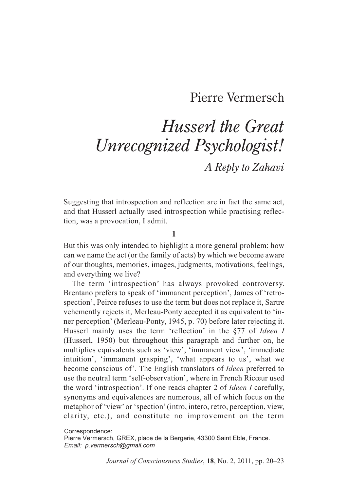## Pierre Vermersch

# *Husserl the Great Unrecognized Psychologist! A Reply to Zahavi*

Suggesting that introspection and reflection are in fact the same act, and that Husserl actually used introspection while practising reflection, was a provocation, I admit.

#### **1**

But this was only intended to highlight a more general problem: how can we name the act (or the family of acts) by which we become aware of our thoughts, memories, images, judgments, motivations, feelings, and everything we live?

The term 'introspection' has always provoked controversy. Brentano prefers to speak of 'immanent perception', James of 'retrospection', Peirce refuses to use the term but does not replace it, Sartre vehemently rejects it, Merleau-Ponty accepted it as equivalent to 'inner perception' (Merleau-Ponty, 1945, p. 70) before later rejecting it. Husserl mainly uses the term 'reflection' in the §77 of *Ideen I* (Husserl, 1950) but throughout this paragraph and further on, he multiplies equivalents such as 'view', 'immanent view', 'immediate intuition', 'immanent grasping', 'what appears to us', what we become conscious of'. The English translators of *Ideen* preferred to use the neutral term 'self-observation', where in French Ricœur used the word 'introspection'. If one reads chapter 2 of *Ideen I* carefully, synonyms and equivalences are numerous, all of which focus on the metaphor of 'view' or 'spection' (intro, intero, retro, perception, view, clarity, etc.), and constitute no improvement on the term

Correspondence:

Pierre Vermersch, GREX, place de la Bergerie, 43300 Saint Eble, France. *Email: p.vermersch@gmail.com*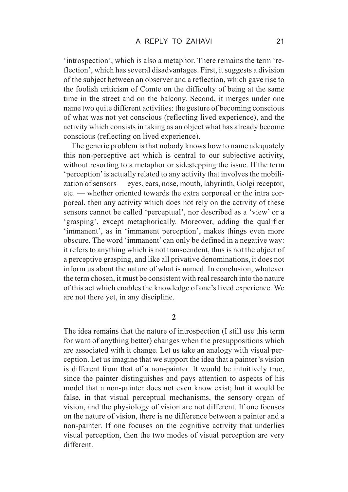'introspection', which is also a metaphor. There remains the term 'reflection', which has several disadvantages. First, it suggests a division of the subject between an observer and a reflection, which gave rise to the foolish criticism of Comte on the difficulty of being at the same time in the street and on the balcony. Second, it merges under one name two quite different activities: the gesture of becoming conscious of what was not yet conscious (reflecting lived experience), and the activity which consists in taking as an object what has already become conscious (reflecting on lived experience).

The generic problem is that nobody knows how to name adequately this non-perceptive act which is central to our subjective activity, without resorting to a metaphor or sidestepping the issue. If the term 'perception' is actually related to any activity that involves the mobilization of sensors — eyes, ears, nose, mouth, labyrinth, Golgi receptor, etc. — whether oriented towards the extra corporeal or the intra corporeal, then any activity which does not rely on the activity of these sensors cannot be called 'perceptual', nor described as a 'view' or a 'grasping', except metaphorically. Moreover, adding the qualifier 'immanent', as in 'immanent perception', makes things even more obscure. The word 'immanent' can only be defined in a negative way: it refers to anything which is not transcendent, thus is not the object of a perceptive grasping, and like all privative denominations, it does not inform us about the nature of what is named. In conclusion, whatever the term chosen, it must be consistent with real research into the nature of this act which enables the knowledge of one's lived experience. We are not there yet, in any discipline.

**2**

The idea remains that the nature of introspection (I still use this term for want of anything better) changes when the presuppositions which are associated with it change. Let us take an analogy with visual perception. Let us imagine that we support the idea that a painter's vision is different from that of a non-painter. It would be intuitively true, since the painter distinguishes and pays attention to aspects of his model that a non-painter does not even know exist; but it would be false, in that visual perceptual mechanisms, the sensory organ of vision, and the physiology of vision are not different. If one focuses on the nature of vision, there is no difference between a painter and a non-painter. If one focuses on the cognitive activity that underlies visual perception, then the two modes of visual perception are very different.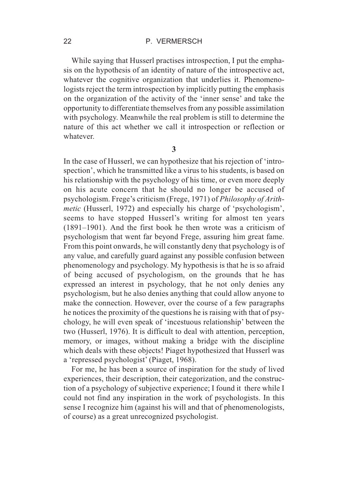#### 22 **P. VERMERSCH**

While saying that Husserl practises introspection, I put the emphasis on the hypothesis of an identity of nature of the introspective act, whatever the cognitive organization that underlies it. Phenomenologists reject the term introspection by implicitly putting the emphasis on the organization of the activity of the 'inner sense' and take the opportunity to differentiate themselves from any possible assimilation with psychology. Meanwhile the real problem is still to determine the nature of this act whether we call it introspection or reflection or whatever.

**3**

In the case of Husserl, we can hypothesize that his rejection of 'introspection', which he transmitted like a virus to his students, is based on his relationship with the psychology of his time, or even more deeply on his acute concern that he should no longer be accused of psychologism. Frege's criticism (Frege, 1971) of *Philosophy of Arithmetic* (Husserl, 1972) and especially his charge of 'psychologism', seems to have stopped Husserl's writing for almost ten years (1891–1901). And the first book he then wrote was a criticism of psychologism that went far beyond Frege, assuring him great fame. From this point onwards, he will constantly deny that psychology is of any value, and carefully guard against any possible confusion between phenomenology and psychology. My hypothesis is that he is so afraid of being accused of psychologism, on the grounds that he has expressed an interest in psychology, that he not only denies any psychologism, but he also denies anything that could allow anyone to make the connection. However, over the course of a few paragraphs he notices the proximity of the questions he is raising with that of psychology, he will even speak of 'incestuous relationship' between the two (Husserl, 1976). It is difficult to deal with attention, perception, memory, or images, without making a bridge with the discipline which deals with these objects! Piaget hypothesized that Husserl was a 'repressed psychologist' (Piaget, 1968).

For me, he has been a source of inspiration for the study of lived experiences, their description, their categorization, and the construction of a psychology of subjective experience; I found it there while I could not find any inspiration in the work of psychologists. In this sense I recognize him (against his will and that of phenomenologists, of course) as a great unrecognized psychologist.